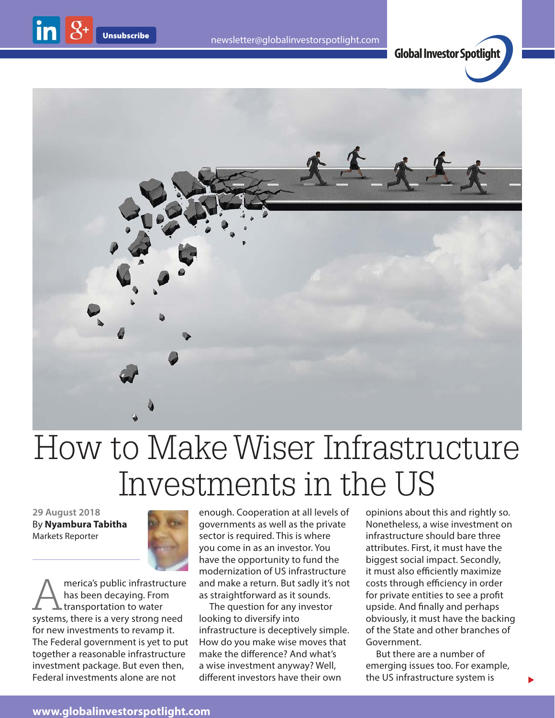





## How to Make Wiser Infrastructure Investments in the US

**29 August 2018** By **Nyambura Tabitha** Markets Reporter



merica's public infrastructure has been decaying. From  $\blacktriangle$  transportation to water systems, there is a very strong need for new investments to revamp it. The Federal government is yet to put together a reasonable infrastructure investment package. But even then, Federal investments alone are not

enough. Cooperation at all levels of governments as well as the private sector is required. This is where you come in as an investor. You have the opportunity to fund the modernization of US infrastructure and make a return. But sadly it's not as straightforward as it sounds.

The question for any investor looking to diversify into infrastructure is deceptively simple. How do you make wise moves that make the difference? And what's a wise investment anyway? Well, different investors have their own

opinions about this and rightly so. Nonetheless, a wise investment on infrastructure should bare three attributes. First, it must have the biggest social impact. Secondly, it must also efficiently maximize costs through efficiency in order for private entities to see a profit upside. And finally and perhaps obviously, it must have the backing of the State and other branches of Government.

But there are a number of emerging issues too. For example, the US infrastructure system is

 $\blacktriangleright$